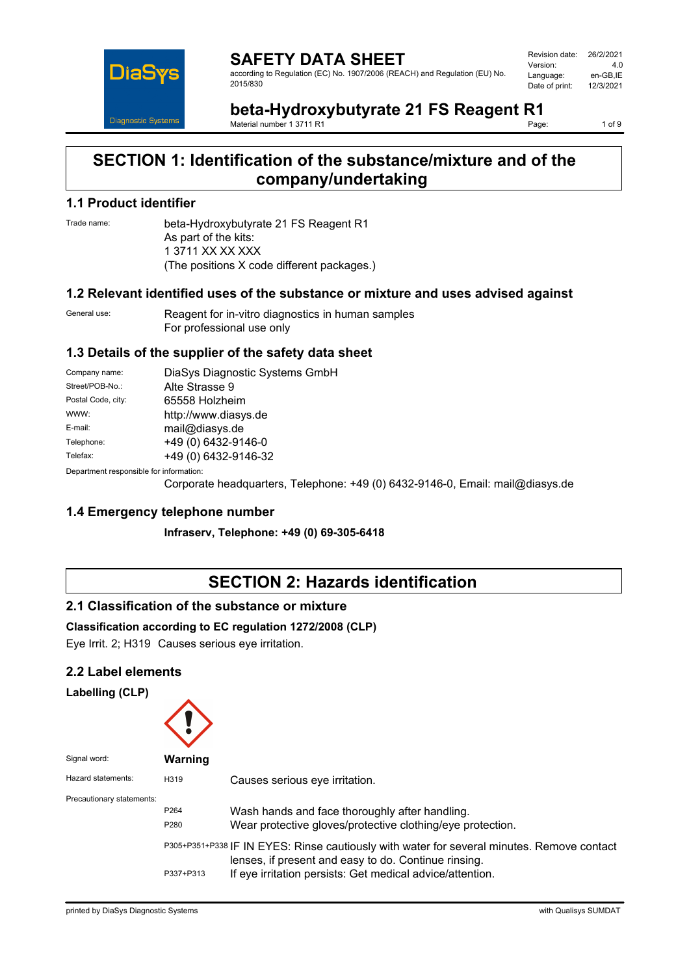

| Revision date: | 26/2/2021 |
|----------------|-----------|
| Version:       | 4.0       |
| Language:      | en-GB.IE  |
| Date of print: | 12/3/2021 |
|                |           |

**beta-Hydroxybutyrate 21 FS Reagent R1**<br>Material number 1.3711.R1 Material number 1 3711 R1

1 of 9

# **SECTION 1: Identification of the substance/mixture and of the company/undertaking**

## **1.1 Product identifier**

Trade name: beta-Hydroxybutyrate 21 FS Reagent R1 As part of the kits: 1 3711 XX XX XXX (The positions X code different packages.)

## **1.2 Relevant identified uses of the substance or mixture and uses advised against**

General use: Reagent for in-vitro diagnostics in human samples For professional use only

## **1.3 Details of the supplier of the safety data sheet**

| Company name:                           | DiaSys Diagnostic Systems GmbH                                                                                                                                                                                                                                                                                                 |
|-----------------------------------------|--------------------------------------------------------------------------------------------------------------------------------------------------------------------------------------------------------------------------------------------------------------------------------------------------------------------------------|
| Street/POB-No.:                         | Alte Strasse 9                                                                                                                                                                                                                                                                                                                 |
| Postal Code, city:                      | 65558 Holzheim                                                                                                                                                                                                                                                                                                                 |
| WWW:                                    | http://www.diasys.de                                                                                                                                                                                                                                                                                                           |
| E-mail:                                 | mail@diasys.de                                                                                                                                                                                                                                                                                                                 |
| Telephone:                              | +49 (0) 6432-9146-0                                                                                                                                                                                                                                                                                                            |
| Telefax:                                | +49 (0) 6432-9146-32                                                                                                                                                                                                                                                                                                           |
| Department responsible for information: |                                                                                                                                                                                                                                                                                                                                |
|                                         | $\Omega$ (iii) $\mathbf{T}$ iii) $\mathbf{A}$ (0) $\Omega$ (0) $\Omega$ (0) $\Omega$ $\mathbf{A}$ $\mathbf{A}$ $\mathbf{A}$ $\mathbf{A}$ $\mathbf{A}$ $\mathbf{A}$ $\mathbf{A}$ $\mathbf{A}$ $\mathbf{A}$ $\mathbf{A}$ $\mathbf{A}$ $\mathbf{A}$ $\mathbf{A}$ $\mathbf{A}$ $\mathbf{A}$ $\mathbf{A}$ $\mathbf{A}$ $\mathbf{A}$ |

Corporate headquarters, Telephone: +49 (0) 6432-9146-0, Email: mail@diasys.de

## **1.4 Emergency telephone number**

**Infraserv, Telephone: +49 (0) 69-305-6418**

## **SECTION 2: Hazards identification**

## **2.1 Classification of the substance or mixture**

## **Classification according to EC regulation 1272/2008 (CLP)**

Eye Irrit. 2; H319 Causes serious eye irritation.

## **2.2 Label elements**

**Labelling (CLP)**

| Signal word:              | <b>Warning</b>           |                                                                                                                                                                                                                 |
|---------------------------|--------------------------|-----------------------------------------------------------------------------------------------------------------------------------------------------------------------------------------------------------------|
| Hazard statements:        | H319                     | Causes serious eye irritation.                                                                                                                                                                                  |
| Precautionary statements: | P <sub>264</sub><br>P280 | Wash hands and face thoroughly after handling.<br>Wear protective gloves/protective clothing/eye protection.                                                                                                    |
|                           | P337+P313                | P305+P351+P338 IF IN EYES: Rinse cautiously with water for several minutes. Remove contact<br>lenses, if present and easy to do. Continue rinsing.<br>If eye irritation persists: Get medical advice/attention. |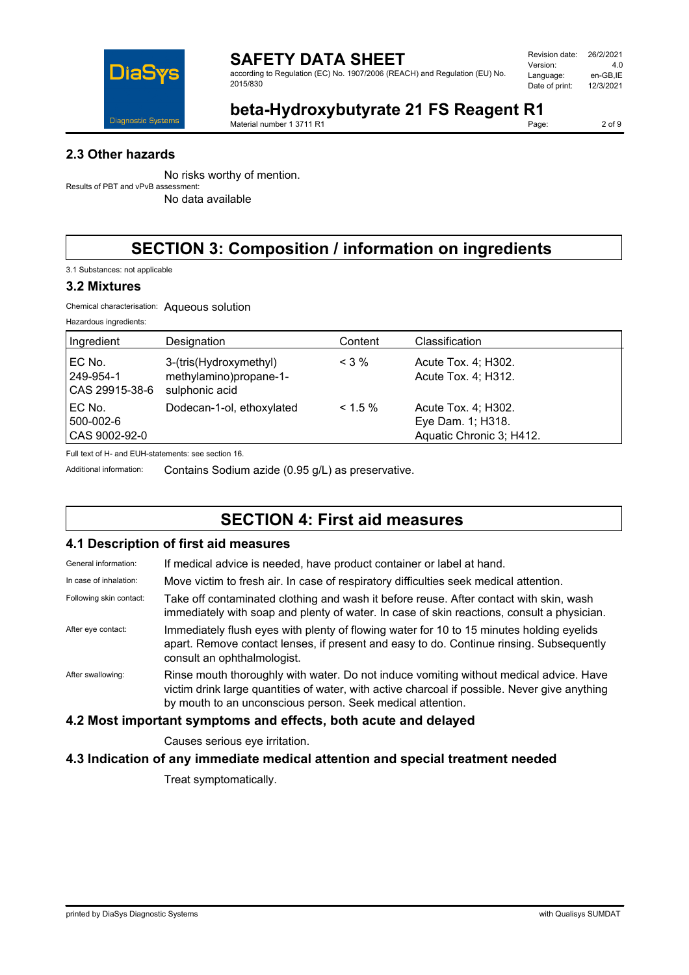

according to Regulation (EC) No. 1907/2006 (REACH) and Regulation (EU) No. 2015/830

| Revision date: | 26/2/2021 |
|----------------|-----------|
| Version:       | 4 N       |
| Language:      | en-GB.IE  |
| Date of print: | 12/3/2021 |
|                |           |

# **beta-Hydroxybutyrate 21 FS Reagent R1**<br>Material number 1 3711 R1

Material number 1 3711 R1

2 of 9

## **2.3 Other hazards**

No risks worthy of mention. Results of PBT and vPvB assessment:

No data available

# **SECTION 3: Composition / information on ingredients**

3.1 Substances: not applicable

#### **3.2 Mixtures**

Chemical characterisation: Aqueous solution

| Hazardous ingredients: |  |
|------------------------|--|
|------------------------|--|

| Ingredient                            | Designation                                                        | Content    | Classification                                                       |
|---------------------------------------|--------------------------------------------------------------------|------------|----------------------------------------------------------------------|
| EC No.<br>249-954-1<br>CAS 29915-38-6 | 3-(tris(Hydroxymethyl)<br>methylamino)propane-1-<br>sulphonic acid | $< 3\%$    | Acute Tox. 4; H302.<br>Acute Tox. 4; H312.                           |
| EC No.<br>500-002-6<br>CAS 9002-92-0  | Dodecan-1-ol, ethoxylated                                          | $< 1.5 \%$ | Acute Tox. 4; H302.<br>Eye Dam. 1; H318.<br>Aquatic Chronic 3; H412. |

Full text of H- and EUH-statements: see section 16.

Additional information: Contains Sodium azide (0.95 g/L) as preservative.

# **SECTION 4: First aid measures**

#### **4.1 Description of first aid measures**

| General information:    | If medical advice is needed, have product container or label at hand.                                                                                                                                                                                 |
|-------------------------|-------------------------------------------------------------------------------------------------------------------------------------------------------------------------------------------------------------------------------------------------------|
| In case of inhalation:  | Move victim to fresh air. In case of respiratory difficulties seek medical attention.                                                                                                                                                                 |
| Following skin contact: | Take off contaminated clothing and wash it before reuse. After contact with skin, wash<br>immediately with soap and plenty of water. In case of skin reactions, consult a physician.                                                                  |
| After eye contact:      | Immediately flush eyes with plenty of flowing water for 10 to 15 minutes holding eyelids<br>apart. Remove contact lenses, if present and easy to do. Continue rinsing. Subsequently<br>consult an ophthalmologist.                                    |
| After swallowing:       | Rinse mouth thoroughly with water. Do not induce vomiting without medical advice. Have<br>victim drink large quantities of water, with active charcoal if possible. Never give anything<br>by mouth to an unconscious person. Seek medical attention. |

## **4.2 Most important symptoms and effects, both acute and delayed**

Causes serious eye irritation.

## **4.3 Indication of any immediate medical attention and special treatment needed**

Treat symptomatically.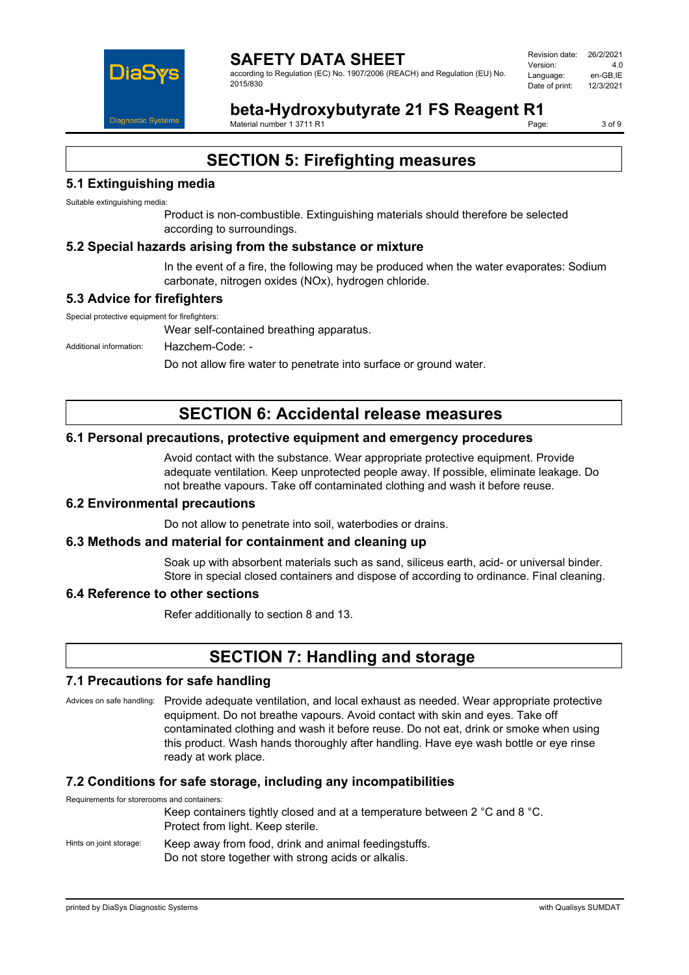

Revision date: 26/2/2021 Version: 4.0 Language: en-GB,IE<br>Date of print: 12/3/2021 Date of print:

**beta-Hydroxybutyrate 21 FS Reagent R1** Material number 1 3711 R1

3 of 9

# **SECTION 5: Firefighting measures**

## **5.1 Extinguishing media**

Suitable extinguishing media:

Product is non-combustible. Extinguishing materials should therefore be selected according to surroundings.

#### **5.2 Special hazards arising from the substance or mixture**

In the event of a fire, the following may be produced when the water evaporates: Sodium carbonate, nitrogen oxides (NOx), hydrogen chloride.

#### **5.3 Advice for firefighters**

Special protective equipment for firefighters:

Wear self-contained breathing apparatus.

Additional information: Hazchem-Code: -

Do not allow fire water to penetrate into surface or ground water.

## **SECTION 6: Accidental release measures**

#### **6.1 Personal precautions, protective equipment and emergency procedures**

Avoid contact with the substance. Wear appropriate protective equipment. Provide adequate ventilation. Keep unprotected people away. If possible, eliminate leakage. Do not breathe vapours. Take off contaminated clothing and wash it before reuse.

#### **6.2 Environmental precautions**

Do not allow to penetrate into soil, waterbodies or drains.

#### **6.3 Methods and material for containment and cleaning up**

Soak up with absorbent materials such as sand, siliceus earth, acid- or universal binder. Store in special closed containers and dispose of according to ordinance. Final cleaning.

#### **6.4 Reference to other sections**

Refer additionally to section 8 and 13.

## **SECTION 7: Handling and storage**

#### **7.1 Precautions for safe handling**

Advices on safe handling: Provide adequate ventilation, and local exhaust as needed. Wear appropriate protective equipment. Do not breathe vapours. Avoid contact with skin and eyes. Take off contaminated clothing and wash it before reuse. Do not eat, drink or smoke when using this product. Wash hands thoroughly after handling. Have eye wash bottle or eye rinse ready at work place.

#### **7.2 Conditions for safe storage, including any incompatibilities**

Requirements for storerooms and containers: Keep containers tightly closed and at a temperature between 2 °C and 8 °C. Protect from light. Keep sterile. Hints on joint storage: Keep away from food, drink and animal feedingstuffs.

Do not store together with strong acids or alkalis.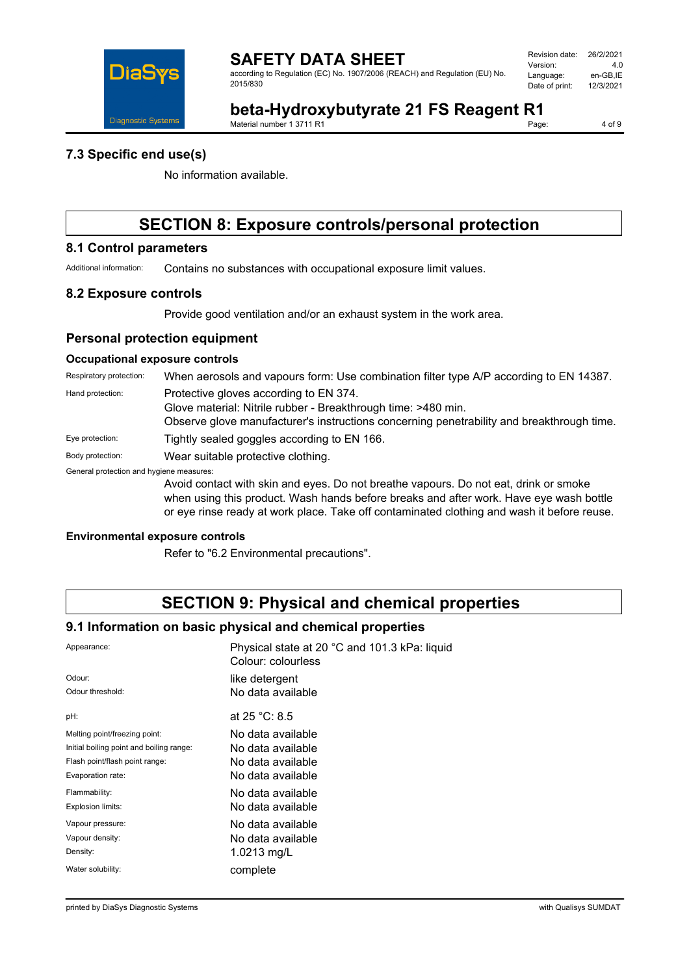

according to Regulation (EC) No. 1907/2006 (REACH) and Regulation (EU) No. 2015/830

| Revision date: | 26/2/2021 |
|----------------|-----------|
| Version:       | 4 በ       |
| Language:      | en-GB,IE  |
| Date of print: | 12/3/2021 |
|                |           |

# **beta-Hydroxybutyrate 21 FS Reagent R1**<br>Material number 1 3711 R1

Material number 1 3711 R1

4 of 9

#### **7.3 Specific end use(s)**

No information available.

## **SECTION 8: Exposure controls/personal protection**

## **8.1 Control parameters**

Additional information: Contains no substances with occupational exposure limit values.

#### **8.2 Exposure controls**

Provide good ventilation and/or an exhaust system in the work area.

#### **Personal protection equipment**

#### **Occupational exposure controls**

| Respiratory protection:                  | When aerosols and vapours form: Use combination filter type A/P according to EN 14387.                                                                                                               |
|------------------------------------------|------------------------------------------------------------------------------------------------------------------------------------------------------------------------------------------------------|
| Hand protection:                         | Protective gloves according to EN 374.<br>Glove material: Nitrile rubber - Breakthrough time: >480 min.<br>Observe glove manufacturer's instructions concerning penetrability and breakthrough time. |
| Eye protection:                          | Tightly sealed goggles according to EN 166.                                                                                                                                                          |
| Body protection:                         | Wear suitable protective clothing.                                                                                                                                                                   |
| General protection and hygiene measures: | Augid contact with older and over De not broothe vanoure. De not est drink er ameke                                                                                                                  |

Avoid contact with skin and eyes. Do not breathe vapours. Do not eat, drink or smoke when using this product. Wash hands before breaks and after work. Have eye wash bottle or eye rinse ready at work place. Take off contaminated clothing and wash it before reuse.

#### **Environmental exposure controls**

Refer to "6.2 Environmental precautions".

## **SECTION 9: Physical and chemical properties**

#### **9.1 Information on basic physical and chemical properties**

| Appearance:                              | Physical state at 20 °C and 101.3 kPa: liquid<br>Colour: colourless |
|------------------------------------------|---------------------------------------------------------------------|
| Odour:                                   | like detergent                                                      |
| Odour threshold:                         | No data available                                                   |
| pH:                                      | at 25 °C: 8.5                                                       |
| Melting point/freezing point:            | No data available                                                   |
| Initial boiling point and boiling range: | No data available                                                   |
| Flash point/flash point range:           | No data available                                                   |
| Evaporation rate:                        | No data available                                                   |
| Flammability:                            | No data available                                                   |
| Explosion limits:                        | No data available                                                   |
| Vapour pressure:                         | No data available                                                   |
| Vapour density:                          | No data available                                                   |
| Density:                                 | 1.0213 mg/L                                                         |
| Water solubility:                        | complete                                                            |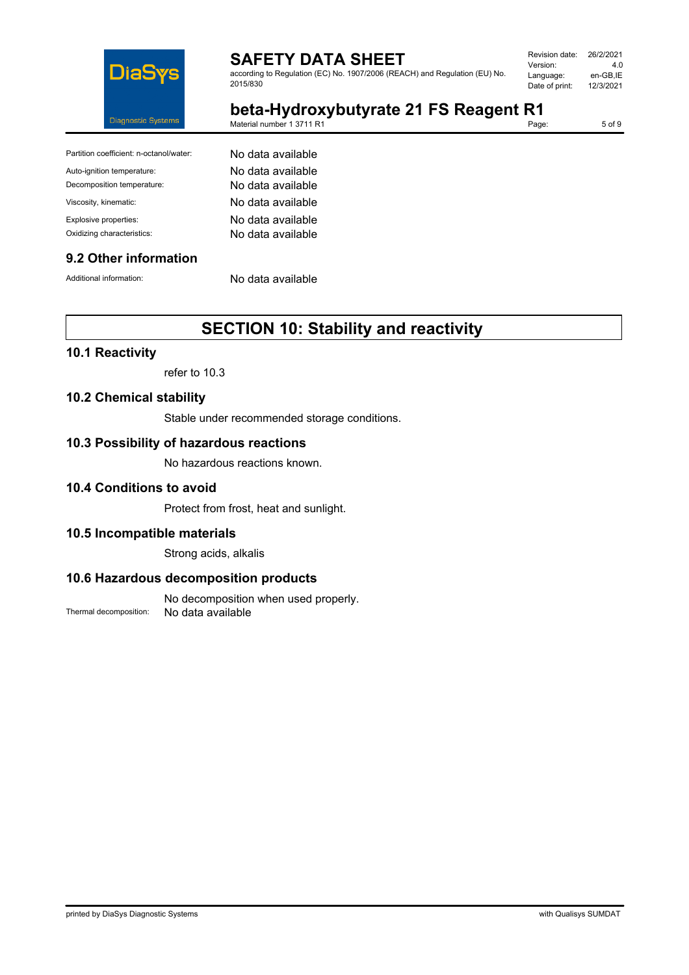

according to Regulation (EC) No. 1907/2006 (REACH) and Regulation (EU) No. 2015/830

| Revision date: | 26/2/2021 |
|----------------|-----------|
| Version:       | 4 N       |
| Language:      | en-GB,IE  |
| Date of print: | 12/3/2021 |
|                |           |

**beta-Hydroxybutyrate 21 FS Reagent R1**<br>Material number 1 3711 R1 Material number 1 3711 R1

5 of 9

| Partition coefficient: n-octanol/water: | No data available |
|-----------------------------------------|-------------------|
| Auto-ignition temperature:              | No data available |
| Decomposition temperature:              | No data available |
| Viscosity, kinematic:                   | No data available |
| Explosive properties:                   | No data available |
| Oxidizing characteristics:              | No data available |

#### **9.2 Other information**

Additional information: No data available

# **SECTION 10: Stability and reactivity**

## **10.1 Reactivity**

refer to 10.3

#### **10.2 Chemical stability**

Stable under recommended storage conditions.

#### **10.3 Possibility of hazardous reactions**

No hazardous reactions known.

#### **10.4 Conditions to avoid**

Protect from frost, heat and sunlight.

#### **10.5 Incompatible materials**

Strong acids, alkalis

#### **10.6 Hazardous decomposition products**

No decomposition when used properly. Thermal decomposition: No data available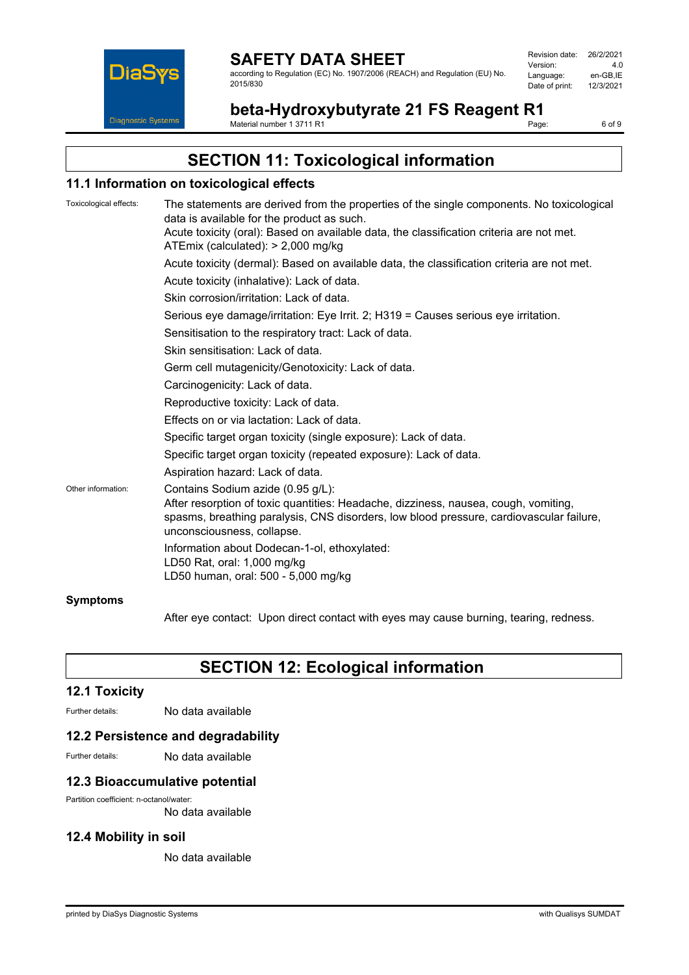

according to Regulation (EC) No. 1907/2006 (REACH) and Regulation (EU) No. 2015/830

| Revision date: | 26/2/2021 |
|----------------|-----------|
| Version:       | 4.0       |
| Language:      | en-GB.IE  |
| Date of print: | 12/3/2021 |
|                |           |

**beta-Hydroxybutyrate 21 FS Reagent R1**<br>Material number 1 3711 R1 Material number 1 3711 R1

6 of 9

# **SECTION 11: Toxicological information**

#### **11.1 Information on toxicological effects**

| Toxicological effects: | The statements are derived from the properties of the single components. No toxicological<br>data is available for the product as such.                                                                                                           |
|------------------------|---------------------------------------------------------------------------------------------------------------------------------------------------------------------------------------------------------------------------------------------------|
|                        | Acute toxicity (oral): Based on available data, the classification criteria are not met.<br>ATEmix (calculated): > 2,000 mg/kg                                                                                                                    |
|                        | Acute toxicity (dermal): Based on available data, the classification criteria are not met.                                                                                                                                                        |
|                        | Acute toxicity (inhalative): Lack of data.                                                                                                                                                                                                        |
|                        | Skin corrosion/irritation: Lack of data.                                                                                                                                                                                                          |
|                        | Serious eye damage/irritation: Eye Irrit. 2; H319 = Causes serious eye irritation.                                                                                                                                                                |
|                        | Sensitisation to the respiratory tract: Lack of data.                                                                                                                                                                                             |
|                        | Skin sensitisation: Lack of data.                                                                                                                                                                                                                 |
|                        | Germ cell mutagenicity/Genotoxicity: Lack of data.                                                                                                                                                                                                |
|                        | Carcinogenicity: Lack of data.                                                                                                                                                                                                                    |
|                        | Reproductive toxicity: Lack of data.                                                                                                                                                                                                              |
|                        | Effects on or via lactation: Lack of data.                                                                                                                                                                                                        |
|                        | Specific target organ toxicity (single exposure): Lack of data.                                                                                                                                                                                   |
|                        | Specific target organ toxicity (repeated exposure): Lack of data.                                                                                                                                                                                 |
|                        | Aspiration hazard: Lack of data.                                                                                                                                                                                                                  |
| Other information:     | Contains Sodium azide (0.95 g/L):<br>After resorption of toxic quantities: Headache, dizziness, nausea, cough, vomiting,<br>spasms, breathing paralysis, CNS disorders, low blood pressure, cardiovascular failure,<br>unconsciousness, collapse. |
|                        | Information about Dodecan-1-ol, ethoxylated:<br>LD50 Rat, oral: 1,000 mg/kg<br>LD50 human, oral: 500 - 5,000 mg/kg                                                                                                                                |
| <b>Symptoms</b>        |                                                                                                                                                                                                                                                   |

After eye contact: Upon direct contact with eyes may cause burning, tearing, redness.

# **SECTION 12: Ecological information**

#### **12.1 Toxicity**

Further details: No data available

#### **12.2 Persistence and degradability**

Further details: No data available

## **12.3 Bioaccumulative potential**

Partition coefficient: n-octanol/water:

No data available

#### **12.4 Mobility in soil**

No data available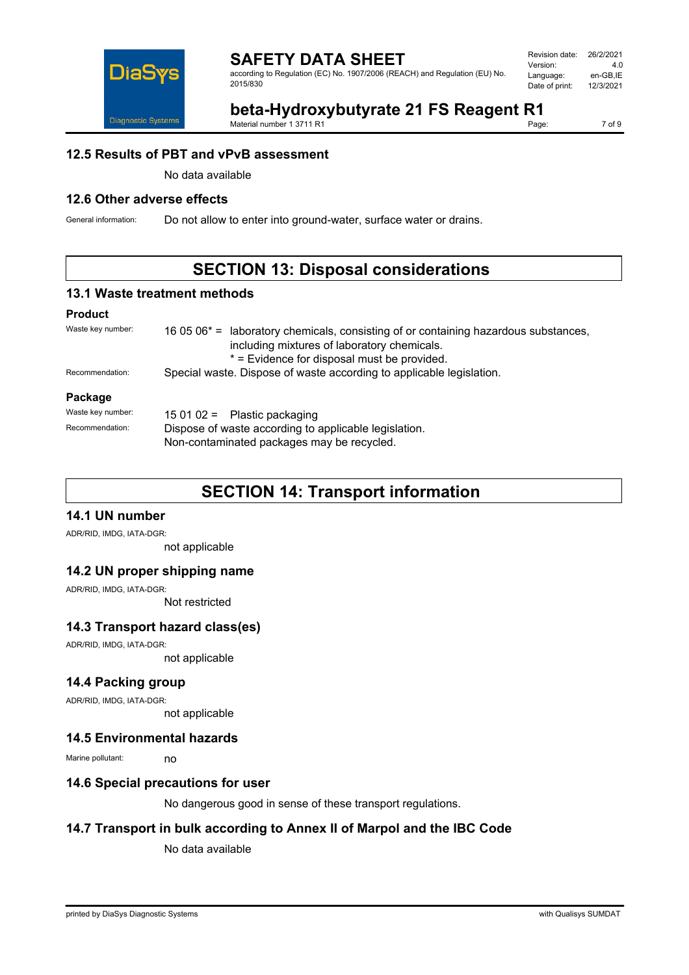

| Revision date: | 26/2/2021 |
|----------------|-----------|
| Version:       | 4 N       |
| Language:      | en-GB.IE  |
| Date of print: | 12/3/2021 |
|                |           |

#### **beta-Hydroxybutyrate 21 FS Reagent R1**<br>Material number 1 3711 R1 Material number 1 3711 R1

7 of 9

#### **12.5 Results of PBT and vPvB assessment**

No data available

## **12.6 Other adverse effects**

General information: Do not allow to enter into ground-water, surface water or drains.

## **SECTION 13: Disposal considerations**

#### **13.1 Waste treatment methods**

#### **Product**

| Waste key number: | 16 05 06 <sup>*</sup> = laboratory chemicals, consisting of or containing hazardous substances,<br>including mixtures of laboratory chemicals.<br>* = Evidence for disposal must be provided. |  |
|-------------------|-----------------------------------------------------------------------------------------------------------------------------------------------------------------------------------------------|--|
| Recommendation:   | Special waste. Dispose of waste according to applicable legislation.                                                                                                                          |  |
| Package           |                                                                                                                                                                                               |  |
| Waste key number: | 15 01 02 = Plastic packaging                                                                                                                                                                  |  |
| Recommendation:   | Dispose of waste according to applicable legislation.<br>Non-contaminated packages may be recycled.                                                                                           |  |

## **SECTION 14: Transport information**

## **14.1 UN number**

ADR/RID, IMDG, IATA-DGR:

not applicable

#### **14.2 UN proper shipping name**

ADR/RID, IMDG, IATA-DGR:

Not restricted

#### **14.3 Transport hazard class(es)**

ADR/RID, IMDG, IATA-DGR:

not applicable

#### **14.4 Packing group**

ADR/RID, IMDG, IATA-DGR:

not applicable

#### **14.5 Environmental hazards**

Marine pollutant: no

#### **14.6 Special precautions for user**

No dangerous good in sense of these transport regulations.

#### **14.7 Transport in bulk according to Annex II of Marpol and the IBC Code**

No data available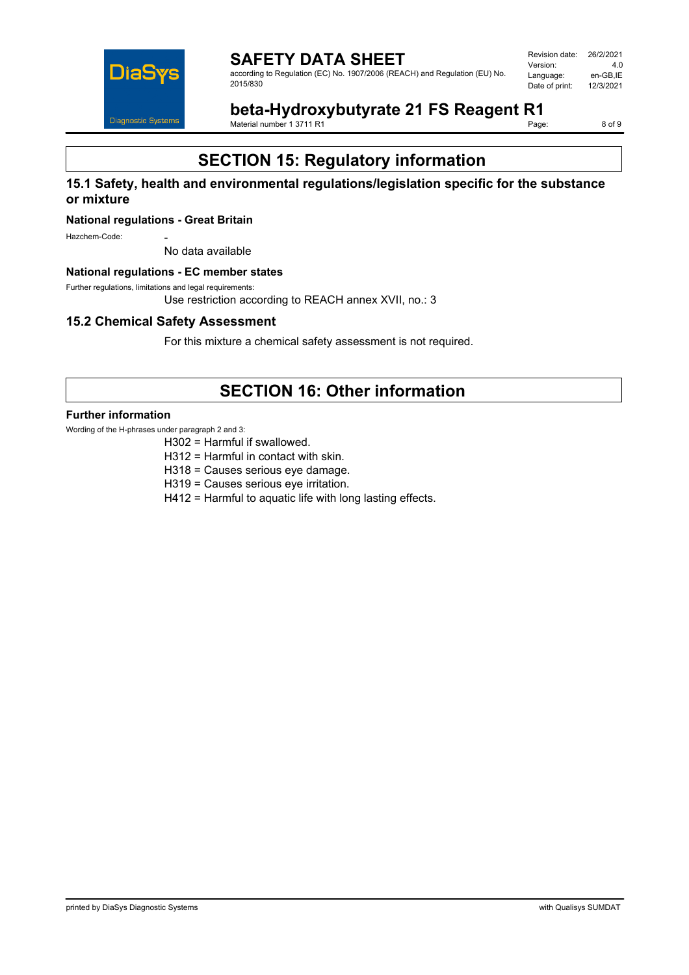

Revision date: 26/2/2021 Version: 4.0<br>Language: en-GB,IE Language: en-GB,IE<br>Date of print: 12/3/2021 Date of print:

**beta-Hydroxybutyrate 21 FS Reagent R1**<br>Material number 1 3711 R1 Material number 1 3711 R1

8 of 9

# **SECTION 15: Regulatory information**

#### **15.1 Safety, health and environmental regulations/legislation specific for the substance or mixture**

#### **National regulations - Great Britain**

Hazchem-Code:

No data available

#### **National regulations - EC member states**

Further regulations, limitations and legal requirements:

Use restriction according to REACH annex XVII, no.: 3

#### **15.2 Chemical Safety Assessment**

For this mixture a chemical safety assessment is not required.

## **SECTION 16: Other information**

#### **Further information**

Wording of the H-phrases under paragraph 2 and 3:

- H302 = Harmful if swallowed.
- H312 = Harmful in contact with skin.
- H318 = Causes serious eye damage.
- H319 = Causes serious eye irritation.
- H412 = Harmful to aquatic life with long lasting effects.